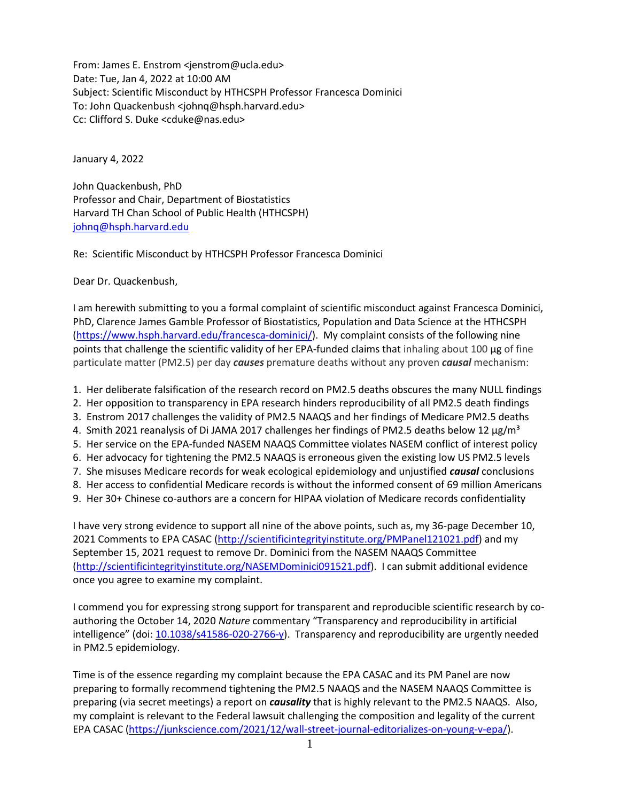From: James E. Enstrom <jenstrom@ucla.edu> Date: Tue, Jan 4, 2022 at 10:00 AM Subject: Scientific Misconduct by HTHCSPH Professor Francesca Dominici To: John Quackenbush <johnq@hsph.harvard.edu> Cc: Clifford S. Duke <cduke@nas.edu>

January 4, 2022

John Quackenbush, PhD Professor and Chair, Department of Biostatistics Harvard TH Chan School of Public Health (HTHCSPH) [johnq@hsph.harvard.edu](mailto:johnq@hsph.harvard.edu)

Re: Scientific Misconduct by HTHCSPH Professor Francesca Dominici

Dear Dr. Quackenbush,

I am herewith submitting to you a formal complaint of scientific misconduct against Francesca Dominici, PhD, Clarence James Gamble Professor of Biostatistics, Population and Data Science at the HTHCSPH [\(https://www.hsph.harvard.edu/francesca-dominici/\)](https://www.hsph.harvard.edu/francesca-dominici/). My complaint consists of the following nine points that challenge the scientific validity of her EPA-funded claims that inhaling about 100 µg of fine particulate matter (PM2.5) per day *causes* premature deaths without any proven *causal* mechanism:

- 1. Her deliberate falsification of the research record on PM2.5 deaths obscures the many NULL findings
- 2. Her opposition to transparency in EPA research hinders reproducibility of all PM2.5 death findings
- 3. Enstrom 2017 challenges the validity of PM2.5 NAAQS and her findings of Medicare PM2.5 deaths
- 4. Smith 2021 reanalysis of Di JAMA 2017 challenges her findings of PM2.5 deaths below 12  $\mu$ g/m<sup>3</sup>
- 5. Her service on the EPA-funded NASEM NAAQS Committee violates NASEM conflict of interest policy
- 6. Her advocacy for tightening the PM2.5 NAAQS is erroneous given the existing low US PM2.5 levels
- 7. She misuses Medicare records for weak ecological epidemiology and unjustified *causal* conclusions
- 8. Her access to confidential Medicare records is without the informed consent of 69 million Americans
- 9. Her 30+ Chinese co-authors are a concern for HIPAA violation of Medicare records confidentiality

I have very strong evidence to support all nine of the above points, such as, my 36-page December 10, 2021 Comments to EPA CASAC [\(http://scientificintegrityinstitute.org/PMPanel121021.pdf\)](http://scientificintegrityinstitute.org/PMPanel121021.pdf) and my September 15, 2021 request to remove Dr. Dominici from the NASEM NAAQS Committee [\(http://scientificintegrityinstitute.org/NASEMDominici091521.pdf\)](http://scientificintegrityinstitute.org/NASEMDominici091521.pdf). I can submit additional evidence once you agree to examine my complaint.

I commend you for expressing strong support for transparent and reproducible scientific research by coauthoring the October 14, 2020 *Nature* commentary "Transparency and reproducibility in artificial intelligence" (doi:  $10.1038/s41586-020-2766-y$ ). Transparency and reproducibility are urgently needed in PM2.5 epidemiology.

Time is of the essence regarding my complaint because the EPA CASAC and its PM Panel are now preparing to formally recommend tightening the PM2.5 NAAQS and the NASEM NAAQS Committee is preparing (via secret meetings) a report on *causality* that is highly relevant to the PM2.5 NAAQS. Also, my complaint is relevant to the Federal lawsuit challenging the composition and legality of the current EPA CASAC [\(https://junkscience.com/2021/12/wall-street-journal-editorializes-on-young-v-epa/\)](https://junkscience.com/2021/12/wall-street-journal-editorializes-on-young-v-epa/).